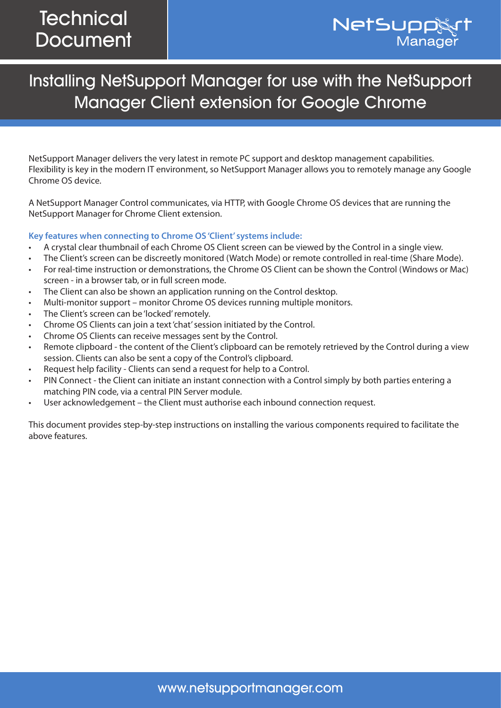# Installing NetSupport Manager for use with the NetSupport Manager Client extension for Google Chrome

NetSupport Manager delivers the very latest in remote PC support and desktop management capabilities. Flexibility is key in the modern IT environment, so NetSupport Manager allows you to remotely manage any Google Chrome OS device.

A NetSupport Manager Control communicates, via HTTP, with Google Chrome OS devices that are running the NetSupport Manager for Chrome Client extension.

## **Key features when connecting to Chrome OS 'Client' systems include:**

- A crystal clear thumbnail of each Chrome OS Client screen can be viewed by the Control in a single view.
- The Client's screen can be discreetly monitored (Watch Mode) or remote controlled in real-time (Share Mode).
- For real-time instruction or demonstrations, the Chrome OS Client can be shown the Control (Windows or Mac) screen - in a browser tab, or in full screen mode.
- The Client can also be shown an application running on the Control desktop.
- Multi-monitor support monitor Chrome OS devices running multiple monitors.
- The Client's screen can be 'locked' remotely.
- Chrome OS Clients can join a text 'chat' session initiated by the Control.
- Chrome OS Clients can receive messages sent by the Control.
- Remote clipboard the content of the Client's clipboard can be remotely retrieved by the Control during a view session. Clients can also be sent a copy of the Control's clipboard.
- Request help facility Clients can send a request for help to a Control.
- PIN Connect the Client can initiate an instant connection with a Control simply by both parties entering a matching PIN code, via a central PIN Server module.
- User acknowledgement the Client must authorise each inbound connection request.

This document provides step-by-step instructions on installing the various components required to facilitate the above features.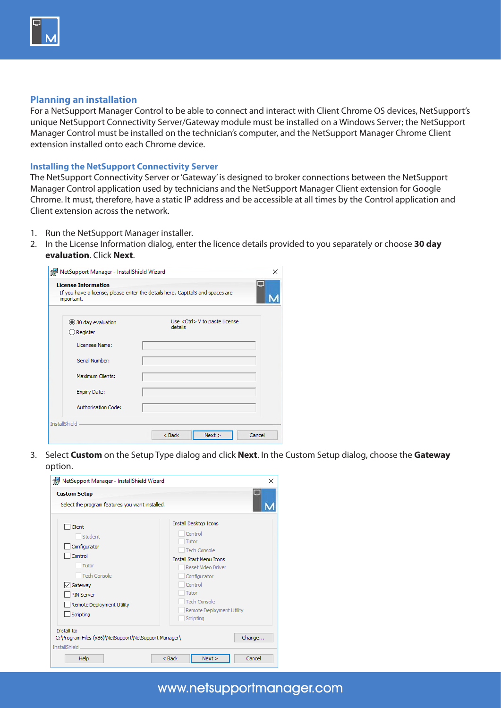

#### **Planning an installation**

For a NetSupport Manager Control to be able to connect and interact with Client Chrome OS devices, NetSupport's unique NetSupport Connectivity Server/Gateway module must be installed on a Windows Server; the NetSupport Manager Control must be installed on the technician's computer, and the NetSupport Manager Chrome Client extension installed onto each Chrome device.

#### **Installing the NetSupport Connectivity Server**

The NetSupport Connectivity Server or 'Gateway' is designed to broker connections between the NetSupport Manager Control application used by technicians and the NetSupport Manager Client extension for Google Chrome. It must, therefore, have a static IP address and be accessible at all times by the Control application and Client extension across the network.

- 1. Run the NetSupport Manager installer.
- 2. In the License Information dialog, enter the licence details provided to you separately or choose **30 day evaluation**. Click **Next**.

| important.                    | If you have a license, please enter the details here. CapItalS and spaces are |
|-------------------------------|-------------------------------------------------------------------------------|
| 30 day evaluation<br>Register | Use <ctrl> V to paste License<br/>details</ctrl>                              |
| Licensee Name:                |                                                                               |
| Serial Number:                |                                                                               |
| Maximum Clients:              |                                                                               |
| <b>Expiry Date:</b>           |                                                                               |
| Authorisation Code:           |                                                                               |

3. Select **Custom** on the Setup Type dialog and click **Next**. In the Custom Setup dialog, choose the **Gateway** option.



# www.netsupportmanager.com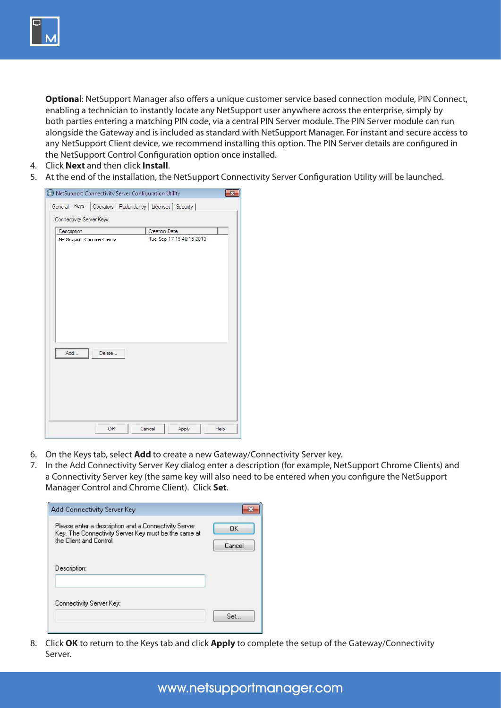

**Optional**: NetSupport Manager also offers a unique customer service based connection module, PIN Connect, enabling a technician to instantly locate any NetSupport user anywhere across the enterprise, simply by both parties entering a matching PIN code, via a central PIN Server module. The PIN Server module can run alongside the Gateway and is included as standard with NetSupport Manager. For instant and secure access to any NetSupport Client device, we recommend installing this option. The PIN Server details are configured in the NetSupport Control Configuration option once installed.

- 4. Click **Next** and then click **Install**.
- 5. At the end of the installation, the NetSupport Connectivity Server Configuration Utility will be launched.

| Description               | Creation Date            |
|---------------------------|--------------------------|
| NetSupport Chrome Clients | Tue Sep 17 15:40:15 2013 |
| Add<br>Delete             |                          |
|                           |                          |

- 6. On the Keys tab, select **Add** to create a new Gateway/Connectivity Server key.
- 7. In the Add Connectivity Server Key dialog enter a description (for example, NetSupport Chrome Clients) and a Connectivity Server key (the same key will also need to be entered when you configure the NetSupport Manager Control and Chrome Client). Click **Set**.

| Add Connectivity Server Key                                                                                                             |              |
|-----------------------------------------------------------------------------------------------------------------------------------------|--------------|
| Please enter a description and a Connectivity Server<br>Key. The Connectivity Server Key must be the same at<br>the Client and Control. | OK<br>Cancel |
| Description:                                                                                                                            |              |
| Connectivity Server Key:                                                                                                                | Set.         |

8. Click **OK** to return to the Keys tab and click **Apply** to complete the setup of the Gateway/Connectivity Server.

www.netsupportmanager.com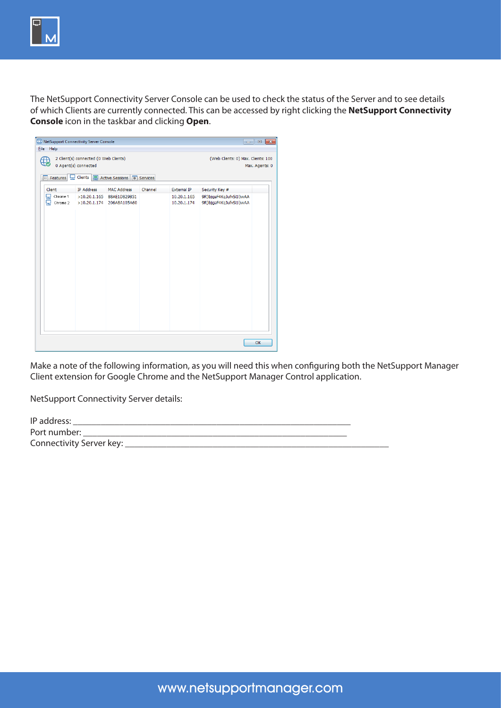

The NetSupport Connectivity Server Console can be used to check the status of the Server and to see details of which Clients are currently connected. This can be accessed by right clicking the **NetSupport Connectivity Console** icon in the taskbar and clicking **Open**.

| NetSupport Connectivity Server Console<br>File Help |                                                               |                                                        |         |                            | $\begin{array}{c c c c c c} \hline \multicolumn{3}{c }{\mathbf{C}} & \multicolumn{3}{c }{\mathbf{D}} & \multicolumn{3}{c }{\mathbf{X}} \\\hline \multicolumn{3}{c }{\mathbf{C}} & \multicolumn{3}{c }{\mathbf{D}} & \multicolumn{3}{c }{\mathbf{S}} \end{array}$ |
|-----------------------------------------------------|---------------------------------------------------------------|--------------------------------------------------------|---------|----------------------------|------------------------------------------------------------------------------------------------------------------------------------------------------------------------------------------------------------------------------------------------------------------|
| ⊕                                                   | 2 Client(s) connected (0 Web Clients)<br>0 Agent(s) connected |                                                        |         |                            | (Web Clients: 0) Max. Clients: 100<br>Max. Agents: 0                                                                                                                                                                                                             |
| Features<br>Æ                                       |                                                               | Clients   Active Sessions   * Services                 |         |                            |                                                                                                                                                                                                                                                                  |
| Client                                              | IP Address                                                    | <b>MAC Address</b>                                     | Channel | <b>External IP</b>         | Security Key #                                                                                                                                                                                                                                                   |
| $\mathbf{Q}$ Chrome 1<br>Q<br>Chrome 2              |                                                               | >10.20.1.165 88AE1D829B51<br>>10.20.1.174 206A8A105A60 |         | 10.20.1.165<br>10.20.1.174 | 9R) bjgaF4KgJufvSi1l) wAA<br>9R) bjgaF4KgJufvSi1l) wAA                                                                                                                                                                                                           |
|                                                     |                                                               |                                                        |         |                            | OK                                                                                                                                                                                                                                                               |

Make a note of the following information, as you will need this when configuring both the NetSupport Manager Client extension for Google Chrome and the NetSupport Manager Control application.

NetSupport Connectivity Server details:

| IP address:              |  |
|--------------------------|--|
| Port number:             |  |
| Connectivity Server key: |  |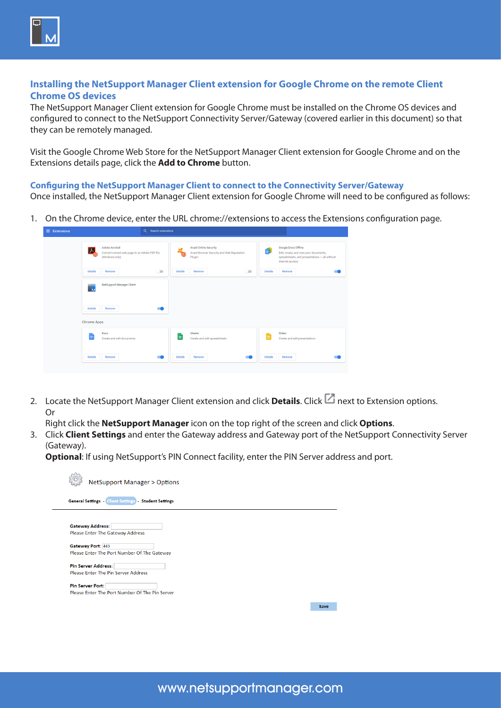

The NetSupport Manager Client extension for Google Chrome must be installed on the Chrome OS devices and configured to connect to the NetSupport Connectivity Server/Gateway (covered earlier in this document) so that they can be remotely managed.

Visit the Google Chrome Web Store for the NetSupport Manager Client extension for Google Chrome and on the Extensions details page, click the **Add to Chrome** button.

**Configuring the NetSupport Manager Client to connect to the Connectivity Server/Gateway**

Once installed, the NetSupport Manager Client extension for Google Chrome will need to be configured as follows:

1. On the Chrome device, enter the URL chrome://extensions to access the Extensions configuration page.



2. Locate the NetSupport Manager Client extension and click **Details**. Click **next to Extension options.** Or

Right click the **NetSupport Manager** icon on the top right of the screen and click **Options**.

3. Click **Client Settings** and enter the Gateway address and Gateway port of the NetSupport Connectivity Server (Gateway).

**Optional:** If using NetSupport's PIN Connect facility, enter the PIN Server address and port.

| <b>NetSupport Manager &gt; Options</b>                       |  |             |
|--------------------------------------------------------------|--|-------------|
| <b>General Settings - Client Settings - Student Settings</b> |  |             |
|                                                              |  |             |
| <b>Gateway Address:</b>                                      |  |             |
| <b>Please Enter The Gateway Address</b>                      |  |             |
|                                                              |  |             |
| Gateway Port: 443                                            |  |             |
| Please Enter The Port Number Of The Gateway                  |  |             |
| <b>Pin Server Address:</b>                                   |  |             |
| <b>Please Enter The Pin Server Address</b>                   |  |             |
|                                                              |  |             |
| <b>Pin Server Port:</b>                                      |  |             |
| Please Enter The Port Number Of The Pin Server               |  |             |
|                                                              |  |             |
|                                                              |  | <b>Save</b> |
|                                                              |  |             |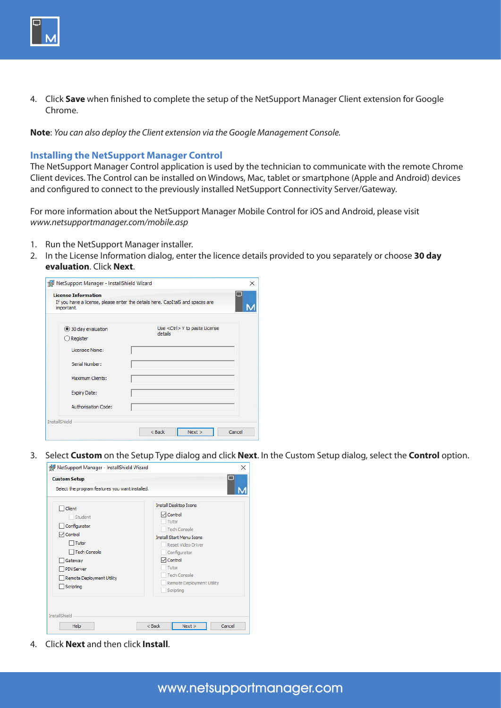

4. Click **Save** when finished to complete the setup of the NetSupport Manager Client extension for Google Chrome.

**Note**: *You can also deploy the Client extension via the Google Management Console.* 

### **Installing the NetSupport Manager Control**

The NetSupport Manager Control application is used by the technician to communicate with the remote Chrome Client devices. The Control can be installed on Windows, Mac, tablet or smartphone (Apple and Android) devices and configured to connect to the previously installed NetSupport Connectivity Server/Gateway.

For more information about the NetSupport Manager Mobile Control for iOS and Android, please visit *[www.netsupportmanager.com/mobile.asp](http://www.netsupportmanager.com/mobile.asp)*

- 1. Run the NetSupport Manager installer.
- 2. In the License Information dialog, enter the licence details provided to you separately or choose **30 day evaluation**. Click **Next**.

| important.                    | If you have a license, please enter the details here. CapItalS and spaces are |  |
|-------------------------------|-------------------------------------------------------------------------------|--|
| 30 day evaluation<br>Register | Use <ctrl> V to paste License<br/>details</ctrl>                              |  |
| Licensee Name:                |                                                                               |  |
| Serial Number:                |                                                                               |  |
| Maximum Clients:              |                                                                               |  |
| <b>Expiry Date:</b>           |                                                                               |  |
| Authorisation Code:           |                                                                               |  |

3. Select **Custom** on the Setup Type dialog and click **Next**. In the Custom Setup dialog, select the **Control** option.



4. Click **Next** and then click **Install**.